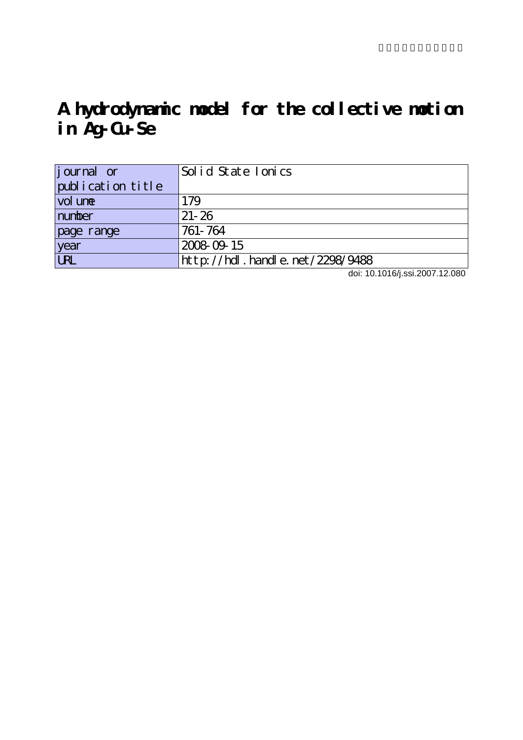# **A hydrodynamic model for the collective motion in Ag-Cu-Se**

| <i>j</i> ournal or | Solid State Ionics                                               |
|--------------------|------------------------------------------------------------------|
| publication title  |                                                                  |
| vol une            | 179                                                              |
| number             | $21 - 26$                                                        |
| page range         | 761-764                                                          |
| year               | 2008-09-15                                                       |
| <b>URL</b>         | ht t p: $\frac{\pi}{100}$ . handl e. net $\frac{\pi}{2298}/9488$ |

doi: 10.1016/j.ssi.2007.12.080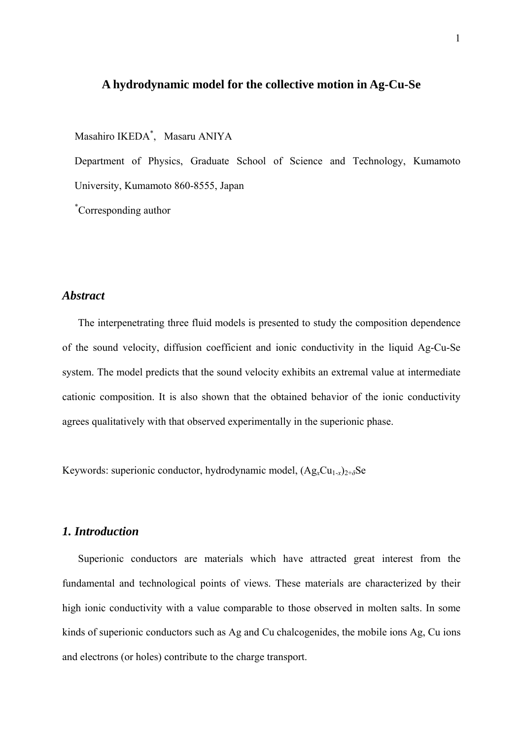## **A hydrodynamic model for the collective motion in Ag-Cu-Se**

Masahiro IKEDA\* , Masaru ANIYA

Department of Physics, Graduate School of Science and Technology, Kumamoto University, Kumamoto 860-8555, Japan

\* Corresponding author

## *Abstract*

The interpenetrating three fluid models is presented to study the composition dependence of the sound velocity, diffusion coefficient and ionic conductivity in the liquid Ag-Cu-Se system. The model predicts that the sound velocity exhibits an extremal value at intermediate cationic composition. It is also shown that the obtained behavior of the ionic conductivity agrees qualitatively with that observed experimentally in the superionic phase.

Keywords: superionic conductor, hydrodynamic model, (Ag*x*Cu1-*x*)2+*δ*Se

## *1. Introduction*

Superionic conductors are materials which have attracted great interest from the fundamental and technological points of views. These materials are characterized by their high ionic conductivity with a value comparable to those observed in molten salts. In some kinds of superionic conductors such as Ag and Cu chalcogenides, the mobile ions Ag, Cu ions and electrons (or holes) contribute to the charge transport.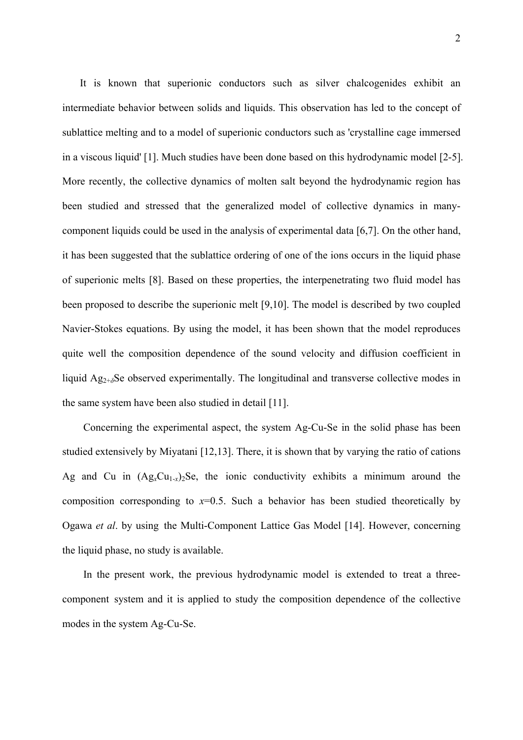It is known that superionic conductors such as silver chalcogenides exhibit an intermediate behavior between solids and liquids. This observation has led to the concept of sublattice melting and to a model of superionic conductors such as 'crystalline cage immersed in a viscous liquid' [1]. Much studies have been done based on this hydrodynamic model [2-5]. More recently, the collective dynamics of molten salt beyond the hydrodynamic region has been studied and stressed that the generalized model of collective dynamics in manycomponent liquids could be used in the analysis of experimental data [6,7]. On the other hand, it has been suggested that the sublattice ordering of one of the ions occurs in the liquid phase of superionic melts [8]. Based on these properties, the interpenetrating two fluid model has been proposed to describe the superionic melt [9,10]. The model is described by two coupled Navier-Stokes equations. By using the model, it has been shown that the model reproduces quite well the composition dependence of the sound velocity and diffusion coefficient in liquid Ag2+*δ*Se observed experimentally. The longitudinal and transverse collective modes in the same system have been also studied in detail [11].

Concerning the experimental aspect, the system Ag-Cu-Se in the solid phase has been studied extensively by Miyatani [12,13]. There, it is shown that by varying the ratio of cations Ag and Cu in  $(Ag_xCu_{1-x})_2$ Se, the ionic conductivity exhibits a minimum around the composition corresponding to  $x=0.5$ . Such a behavior has been studied theoretically by Ogawa *et al*. by using the Multi-Component Lattice Gas Model [14]. However, concerning the liquid phase, no study is available.

In the present work, the previous hydrodynamic model is extended to treat a threecomponent system and it is applied to study the composition dependence of the collective modes in the system Ag-Cu-Se.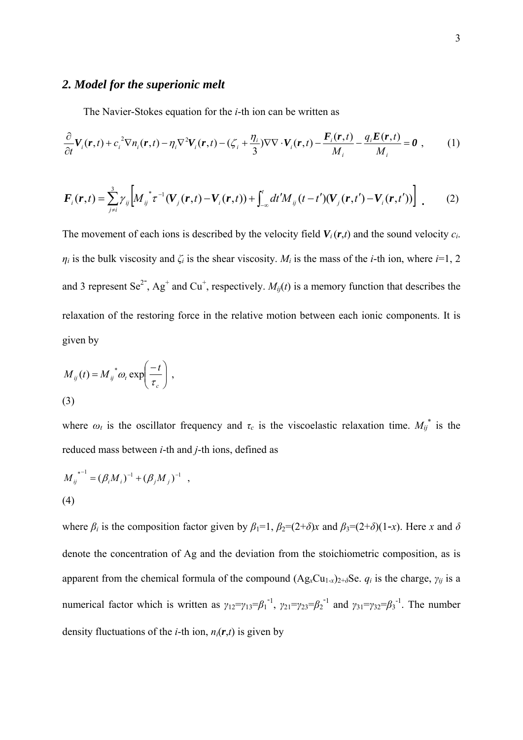## *2. Model for the superionic melt*

The Navier-Stokes equation for the *i*-th ion can be written as

$$
\frac{\partial}{\partial t} \boldsymbol{V}_i(\boldsymbol{r},t) + c_i^2 \nabla n_i(\boldsymbol{r},t) - \eta_i \nabla^2 \boldsymbol{V}_i(\boldsymbol{r},t) - (\zeta_i + \frac{\eta_i}{3}) \nabla \nabla \cdot \boldsymbol{V}_i(\boldsymbol{r},t) - \frac{\boldsymbol{F}_i(\boldsymbol{r},t)}{M_i} - \frac{q_i \boldsymbol{E}(\boldsymbol{r},t)}{M_i} = \boldsymbol{0} \tag{1}
$$

$$
\boldsymbol{F}_{i}(\boldsymbol{r},t) = \sum_{j\neq i}^{3} \gamma_{ij} \bigg[ M_{ij}^{*} \boldsymbol{\tau}^{-1} (\boldsymbol{V}_{j}(\boldsymbol{r},t) - \boldsymbol{V}_{i}(\boldsymbol{r},t)) + \int_{-\infty}^{t} dt' M_{ij} (t-t') (\boldsymbol{V}_{j}(\boldsymbol{r},t') - \boldsymbol{V}_{i}(\boldsymbol{r},t')) \bigg] \tag{2}
$$

The movement of each ions is described by the velocity field  $V_i(r,t)$  and the sound velocity  $c_i$ .  $\eta_i$  is the bulk viscosity and  $\zeta_i$  is the shear viscosity.  $M_i$  is the mass of the *i*-th ion, where *i*=1, 2 and 3 represent Se<sup>2-</sup>, Ag<sup>+</sup> and Cu<sup>+</sup>, respectively.  $M_{ij}(t)$  is a memory function that describes the relaxation of the restoring force in the relative motion between each ionic components. It is given by

$$
M_{ij}(t) = M_{ij}^* \omega_t \exp\left(\frac{-t}{\tau_c}\right),
$$
\n(3)

where  $\omega_t$  is the oscillator frequency and  $\tau_c$  is the viscoelastic relaxation time.  $M_{ij}^*$  is the reduced mass between *i*-th and *j*-th ions, defined as

$$
M_{ij}^{*^{-1}} = (\beta_i M_i)^{-1} + (\beta_j M_j)^{-1} ,
$$
  
(4)

where  $\beta_i$  is the composition factor given by  $\beta_1=1$ ,  $\beta_2=(2+\delta)x$  and  $\beta_3=(2+\delta)(1-x)$ . Here *x* and  $\delta$ denote the concentration of Ag and the deviation from the stoichiometric composition, as is apparent from the chemical formula of the compound  $(Ag_xCu_{1-x})_{2+\delta}Se$ .  $q_i$  is the charge,  $\gamma_{ij}$  is a numerical factor which is written as  $\gamma_{12} = \gamma_{13} = \beta_1^{-1}$ ,  $\gamma_{21} = \gamma_{23} = \beta_2^{-1}$  and  $\gamma_{31} = \gamma_{32} = \beta_3^{-1}$ . The number density fluctuations of the *i*-th ion,  $n_i(\mathbf{r},t)$  is given by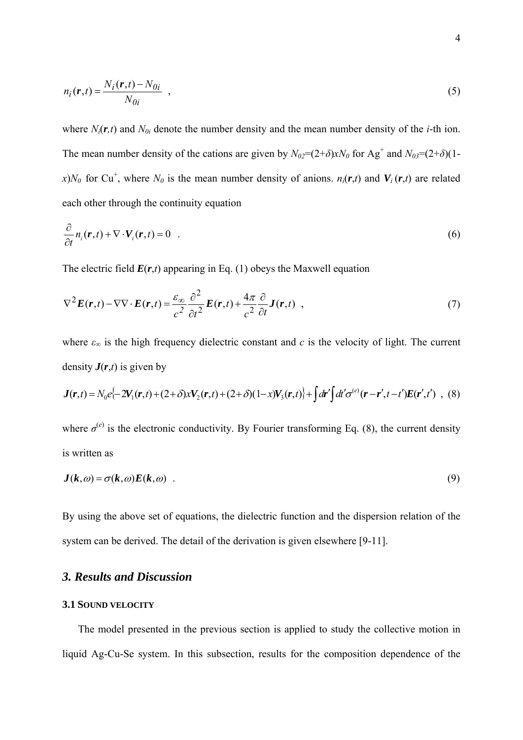$$
n_i(\mathbf{r},t) = \frac{N_i(\mathbf{r},t) - N_{0i}}{N_{0i}} \tag{5}
$$

where  $N_i(\mathbf{r},t)$  and  $N_{0i}$  denote the number density and the mean number density of the *i*-th ion. The mean number density of the cations are given by  $N_{02} = (2+\delta)xN_0$  for Ag<sup>+</sup> and  $N_{03} = (2+\delta)(1-\delta)xN_0$ *x*)*N*<sup>0</sup> for Cu<sup>+</sup>, where *N*<sup>0</sup> is the mean number density of anions. *n<sub>i</sub>*(*r*,*t*) and *V<sub>i</sub>*(*r*,*t*) are related each other through the continuity equation

$$
\frac{\partial}{\partial t} n_i(\mathbf{r},t) + \nabla \cdot \mathbf{V}_i(\mathbf{r},t) = 0 \quad . \tag{6}
$$

The electric field  $E(r,t)$  appearing in Eq. (1) obeys the Maxwell equation

$$
\nabla^2 \boldsymbol{E}(\boldsymbol{r},t) - \nabla \nabla \cdot \boldsymbol{E}(\boldsymbol{r},t) = \frac{\varepsilon_{\infty}}{c^2} \frac{\partial^2}{\partial t^2} \boldsymbol{E}(\boldsymbol{r},t) + \frac{4\pi}{c^2} \frac{\partial}{\partial t} \boldsymbol{J}(\boldsymbol{r},t) ,
$$
\n(7)

where  $\varepsilon_{\infty}$  is the high frequency dielectric constant and *c* is the velocity of light. The current density  $J(r,t)$  is given by

$$
\boldsymbol{J}(\boldsymbol{r},t) = N_0 e^{\int -2\boldsymbol{V}_1(\boldsymbol{r},t) + (2+\delta)x \boldsymbol{V}_2(\boldsymbol{r},t) + (2+\delta)(1-x) \boldsymbol{V}_3(\boldsymbol{r},t)} + \int d\boldsymbol{r}' \int d\boldsymbol{r}' \sigma^{(e)}(\boldsymbol{r}-\boldsymbol{r}',t-t') \boldsymbol{E}(\boldsymbol{r}',t') \quad , \quad (8)
$$

where  $\sigma^{(e)}$  is the electronic conductivity. By Fourier transforming Eq. (8), the current density is written as

$$
J(k,\omega) = \sigma(k,\omega)E(k,\omega) \tag{9}
$$

By using the above set of equations, the dielectric function and the dispersion relation of the system can be derived. The detail of the derivation is given elsewhere [9-11].

# *3. Results and Discussion*

## **3.1 SOUND VELOCITY**

The model presented in the previous section is applied to study the collective motion in liquid Ag-Cu-Se system. In this subsection, results for the composition dependence of the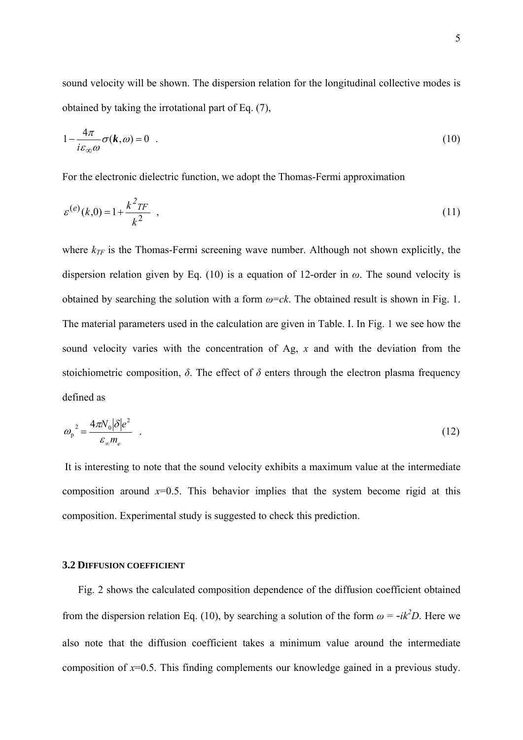sound velocity will be shown. The dispersion relation for the longitudinal collective modes is obtained by taking the irrotational part of Eq. (7),

$$
1 - \frac{4\pi}{i\varepsilon_{\infty}\omega}\sigma(\mathbf{k},\omega) = 0
$$
 (10)

For the electronic dielectric function, we adopt the Thomas-Fermi approximation

$$
\varepsilon^{(e)}(k,0) = 1 + \frac{k^2 \pi}{k^2} \tag{11}
$$

where  $k_{TF}$  is the Thomas-Fermi screening wave number. Although not shown explicitly, the dispersion relation given by Eq. (10) is a equation of 12-order in *ω*. The sound velocity is obtained by searching the solution with a form  $\omega = c k$ . The obtained result is shown in Fig. 1. The material parameters used in the calculation are given in Table. I. In Fig. 1 we see how the sound velocity varies with the concentration of Ag, *x* and with the deviation from the stoichiometric composition,  $\delta$ . The effect of  $\delta$  enters through the electron plasma frequency defined as

$$
\omega_{\rm p}^2 = \frac{4\pi N_0 |\delta| e^2}{\varepsilon_{\infty} m_e} \quad . \tag{12}
$$

 It is interesting to note that the sound velocity exhibits a maximum value at the intermediate composition around  $x=0.5$ . This behavior implies that the system become rigid at this composition. Experimental study is suggested to check this prediction.

#### **3.2 DIFFUSION COEFFICIENT**

Fig. 2 shows the calculated composition dependence of the diffusion coefficient obtained from the dispersion relation Eq. (10), by searching a solution of the form  $\omega = -ik^2D$ . Here we also note that the diffusion coefficient takes a minimum value around the intermediate composition of *x*=0.5. This finding complements our knowledge gained in a previous study.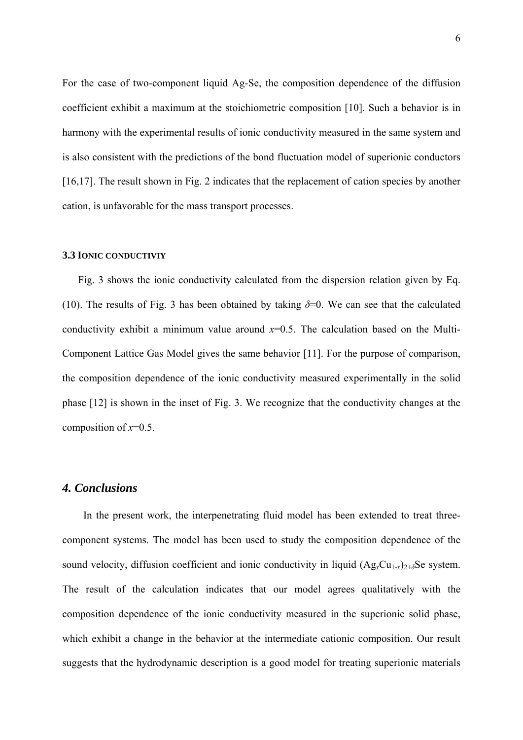For the case of two-component liquid Ag-Se, the composition dependence of the diffusion coefficient exhibit a maximum at the stoichiometric composition [10]. Such a behavior is in harmony with the experimental results of ionic conductivity measured in the same system and is also consistent with the predictions of the bond fluctuation model of superionic conductors [16,17]. The result shown in Fig. 2 indicates that the replacement of cation species by another cation, is unfavorable for the mass transport processes.

#### **3.3 IONIC CONDUCTIVIY**

Fig. 3 shows the ionic conductivity calculated from the dispersion relation given by Eq. (10). The results of Fig. 3 has been obtained by taking  $\delta = 0$ . We can see that the calculated conductivity exhibit a minimum value around  $x=0.5$ . The calculation based on the Multi-Component Lattice Gas Model gives the same behavior [11]. For the purpose of comparison, the composition dependence of the ionic conductivity measured experimentally in the solid phase [12] is shown in the inset of Fig. 3. We recognize that the conductivity changes at the composition of *x*=0.5.

## *4. Conclusions*

In the present work, the interpenetrating fluid model has been extended to treat threecomponent systems. The model has been used to study the composition dependence of the sound velocity, diffusion coefficient and ionic conductivity in liquid  $(Ag<sub>x</sub>Cu<sub>1-x</sub>)<sub>2+\delta</sub>Se$  system. The result of the calculation indicates that our model agrees qualitatively with the composition dependence of the ionic conductivity measured in the superionic solid phase, which exhibit a change in the behavior at the intermediate cationic composition. Our result suggests that the hydrodynamic description is a good model for treating superionic materials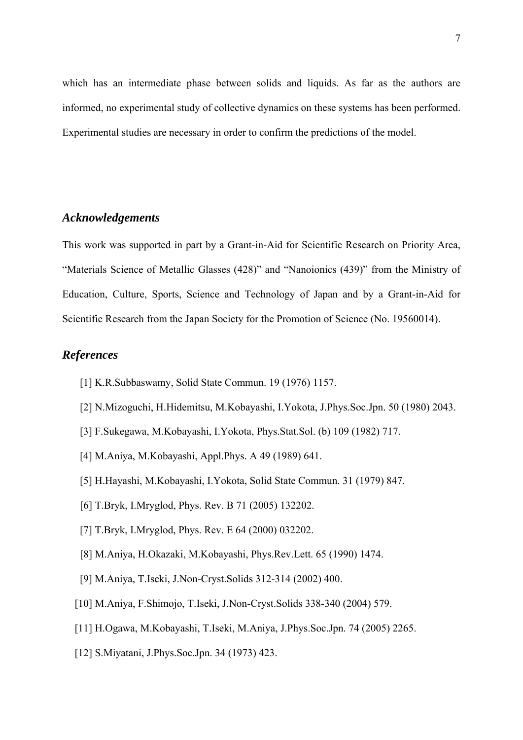which has an intermediate phase between solids and liquids. As far as the authors are informed, no experimental study of collective dynamics on these systems has been performed. Experimental studies are necessary in order to confirm the predictions of the model.

## *Acknowledgements*

This work was supported in part by a Grant-in-Aid for Scientific Research on Priority Area, "Materials Science of Metallic Glasses (428)" and "Nanoionics (439)" from the Ministry of Education, Culture, Sports, Science and Technology of Japan and by a Grant-in-Aid for Scientific Research from the Japan Society for the Promotion of Science (No. 19560014).

## *References*

- [1] K.R.Subbaswamy, Solid State Commun. 19 (1976) 1157.
- [2] N.Mizoguchi, H.Hidemitsu, M.Kobayashi, I.Yokota, J.Phys.Soc.Jpn. 50 (1980) 2043.
- [3] F.Sukegawa, M.Kobayashi, I.Yokota, Phys.Stat.Sol. (b) 109 (1982) 717.
- [4] M.Aniya, M.Kobayashi, Appl.Phys. A 49 (1989) 641.
- [5] H.Hayashi, M.Kobayashi, I.Yokota, Solid State Commun. 31 (1979) 847.
- [6] T.Bryk, I.Mryglod, Phys. Rev. B 71 (2005) 132202.
- [7] T.Bryk, I.Mryglod, Phys. Rev. E 64 (2000) 032202.
- [8] M.Aniya, H.Okazaki, M.Kobayashi, Phys.Rev.Lett. 65 (1990) 1474.
- [9] M.Aniya, T.Iseki, J.Non-Cryst.Solids 312-314 (2002) 400.
- [10] M.Aniya, F.Shimojo, T.Iseki, J.Non-Cryst.Solids 338-340 (2004) 579.
- [11] H.Ogawa, M.Kobayashi, T.Iseki, M.Aniya, J.Phys.Soc.Jpn. 74 (2005) 2265.
- [12] S.Miyatani, J.Phys.Soc.Jpn. 34 (1973) 423.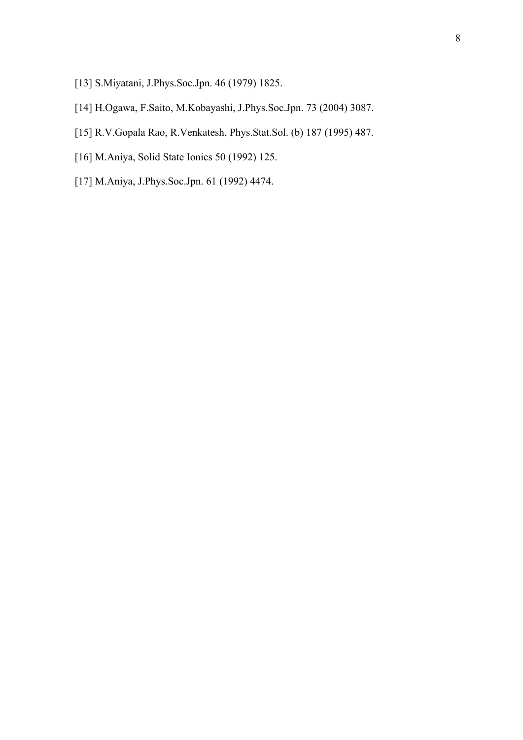- [13] S.Miyatani, J.Phys.Soc.Jpn. 46 (1979) 1825.
- [14] H.Ogawa, F.Saito, M.Kobayashi, J.Phys.Soc.Jpn. 73 (2004) 3087.
- [15] R.V.Gopala Rao, R.Venkatesh, Phys.Stat.Sol. (b) 187 (1995) 487.
- [16] M.Aniya, Solid State Ionics 50 (1992) 125.
- [17] M.Aniya, J.Phys.Soc.Jpn. 61 (1992) 4474.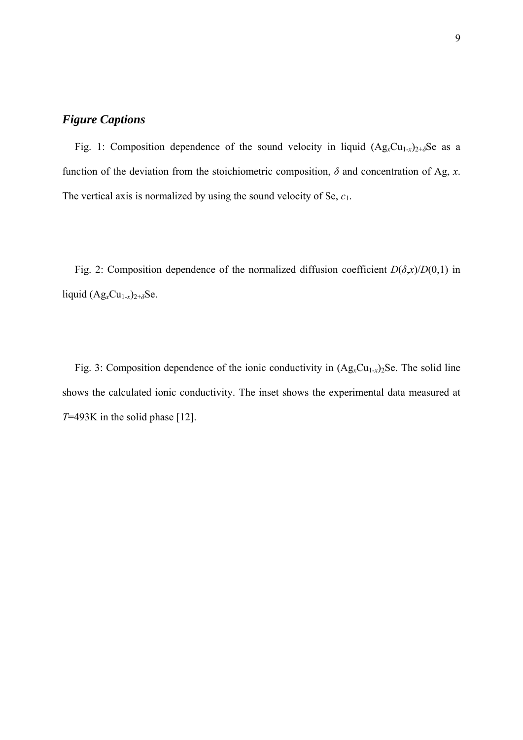# *Figure Captions*

Fig. 1: Composition dependence of the sound velocity in liquid  $(Ag_xCu_{1-x})_{2+\delta}$ Se as a function of the deviation from the stoichiometric composition,  $\delta$  and concentration of Ag, *x*. The vertical axis is normalized by using the sound velocity of Se, *c*1.

Fig. 2: Composition dependence of the normalized diffusion coefficient  $D(\delta, x)/D(0,1)$  in liquid  $(Ag_xCu_{1-x})_{2+\delta}Se$ .

Fig. 3: Composition dependence of the ionic conductivity in  $(Ag_xCu_{1-x})_2$ Se. The solid line shows the calculated ionic conductivity. The inset shows the experimental data measured at *T*=493K in the solid phase [12].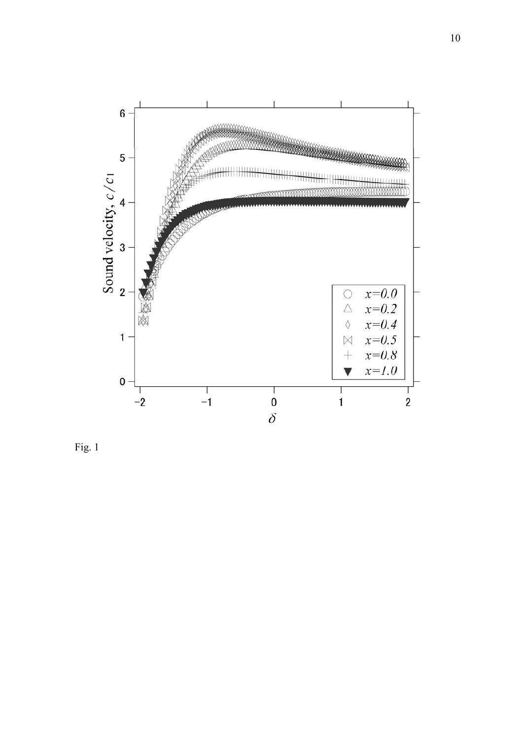

Fig. 1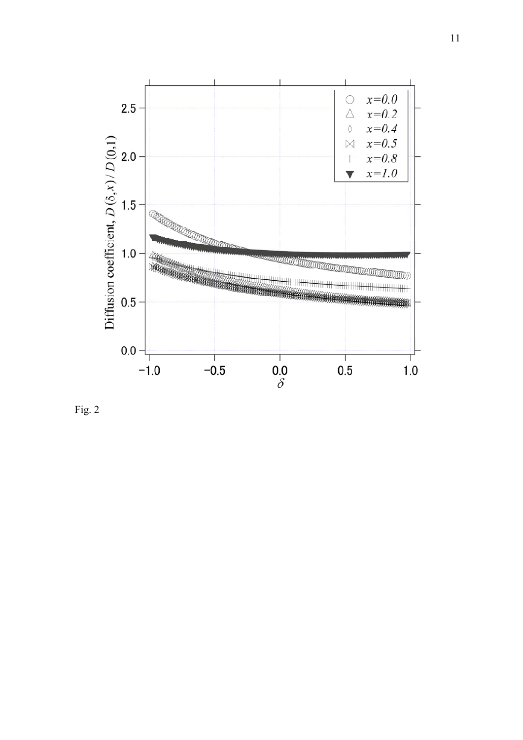

Fig. 2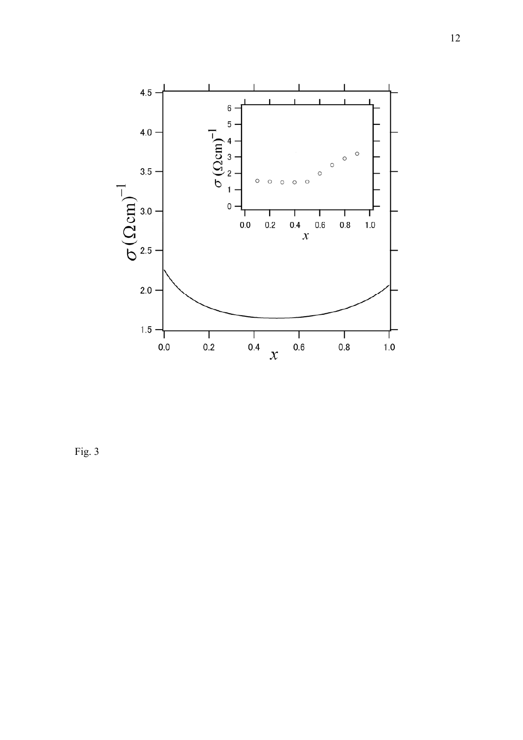

Fig. 3